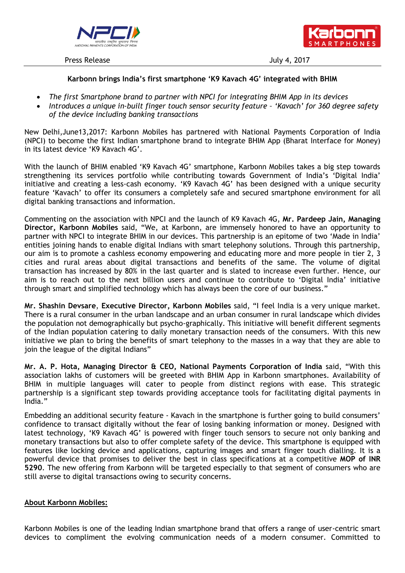

Press Release July 4, 2017



## **Karbonn brings India's first smartphone 'K9 Kavach 4G' integrated with BHIM**

- *The first Smartphone brand to partner with NPCI for integrating BHIM App in its devices*
- *Introduces a unique in-built finger touch sensor security feature – 'Kavach' for 360 degree safety of the device including banking transactions*

New Delhi,June13,2017: Karbonn Mobiles has partnered with National Payments Corporation of India (NPCI) to become the first Indian smartphone brand to integrate BHIM App (Bharat Interface for Money) in its latest device "K9 Kavach 4G".

With the launch of BHIM enabled 'K9 Kavach 4G' smartphone, Karbonn Mobiles takes a big step towards strengthening its services portfolio while contributing towards Government of India"s "Digital India" initiative and creating a less-cash economy. 'K9 Kavach 4G' has been designed with a unique security feature "Kavach" to offer its consumers a completely safe and secured smartphone environment for all digital banking transactions and information.

Commenting on the association with NPCI and the launch of K9 Kavach 4G, **Mr. Pardeep Jain, Managing Director, Karbonn Mobiles** said, "We, at Karbonn, are immensely honored to have an opportunity to partner with NPCI to integrate BHIM in our devices. This partnership is an epitome of two "Made in India" entities joining hands to enable digital Indians with smart telephony solutions. Through this partnership, our aim is to promote a cashless economy empowering and educating more and more people in tier 2, 3 cities and rural areas about digital transactions and benefits of the same. The volume of digital transaction has increased by 80% in the last quarter and is slated to increase even further. Hence, our aim is to reach out to the next billion users and continue to contribute to 'Digital India' initiative through smart and simplified technology which has always been the core of our business."

**Mr. Shashin Devsare**, **Executive Director, Karbonn Mobiles** said, "I feel India is a very unique market. There is a rural consumer in the urban landscape and an urban consumer in rural landscape which divides the population not demographically but psycho-graphically. This initiative will benefit different segments of the Indian population catering to daily monetary transaction needs of the consumers. With this new initiative we plan to bring the benefits of smart telephony to the masses in a way that they are able to join the league of the digital Indians"

**Mr. A. P. Hota, Managing Director & CEO, National Payments Corporation of India** said, "With this association lakhs of customers will be greeted with BHIM App in Karbonn smartphones. Availability of BHIM in multiple languages will cater to people from distinct regions with ease. This strategic partnership is a significant step towards providing acceptance tools for facilitating digital payments in India."

Embedding an additional security feature - Kavach in the smartphone is further going to build consumers" confidence to transact digitally without the fear of losing banking information or money. Designed with latest technology, 'K9 Kavach 4G' is powered with finger touch sensors to secure not only banking and monetary transactions but also to offer complete safety of the device. This smartphone is equipped with features like locking device and applications, capturing images and smart finger touch dialling. It is a powerful device that promises to deliver the best in class specifications at a competitive **MOP of INR 5290**. The new offering from Karbonn will be targeted especially to that segment of consumers who are still averse to digital transactions owing to security concerns.

## **About Karbonn Mobiles:**

Karbonn Mobiles is one of the leading Indian smartphone brand that offers a range of user-centric smart devices to compliment the evolving communication needs of a modern consumer. Committed to